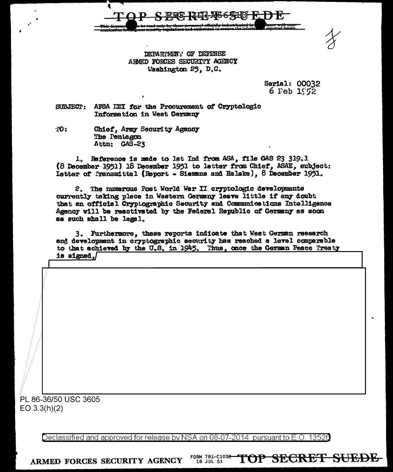

DEPARTMENT OF DEFENSE ARMED FORCES SECURITY AGENCY Washington 25, D.C.

> Serial: 00032  $6$  Feb  $152$

TOP SECRET SUEDE

AFSA HEI for the Procurement of Cryptologic **SUBJECT:** Information in West Germany

TO: Chief, Army Security Agency The Pentagon Attn: GAS-23

Reference is made to lat Ind from ASA, file GAS 23 319.1  $\mathbf{1}_{\alpha}$ (8 December 1951) 18 December 1951 to letter from Chief. ASAE. subject: Letter of Pransmittel (Report - Siemans and Halske), 8 December 1951.

2. The numerous Post World War II cryptologic developments currently taking place in Western Germany leave little if any doubt that an official Cryptographic Security and Communications Intelligence Agency will be reactivated by the Federal Republic of Germany as soon as such shall be legal.

3. Furthermore, these reports indicate that West German research and development in cryptographic security has reached a level comparable to that achieved by the U.S. in 1945. Thus, once the German Peace Treaty is signed. $\sqrt$ 

PL 86-36/50 USC 3605  $EO 3.3(h)(2)$ 

> Declassified and approved for release by NSA on 08-07-2014 pursuant to E.O. 13526

FORM 781-C10Se-ARMED FORCES SECURITY AGENCY 18 JUL 51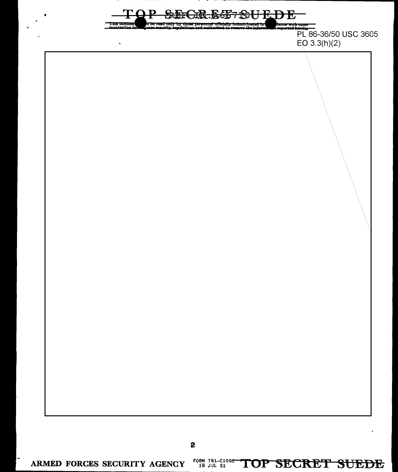

2

ARMED FORCES SECURITY AGENCY

FORM 781-C10SC TOP SECRET SUEDE